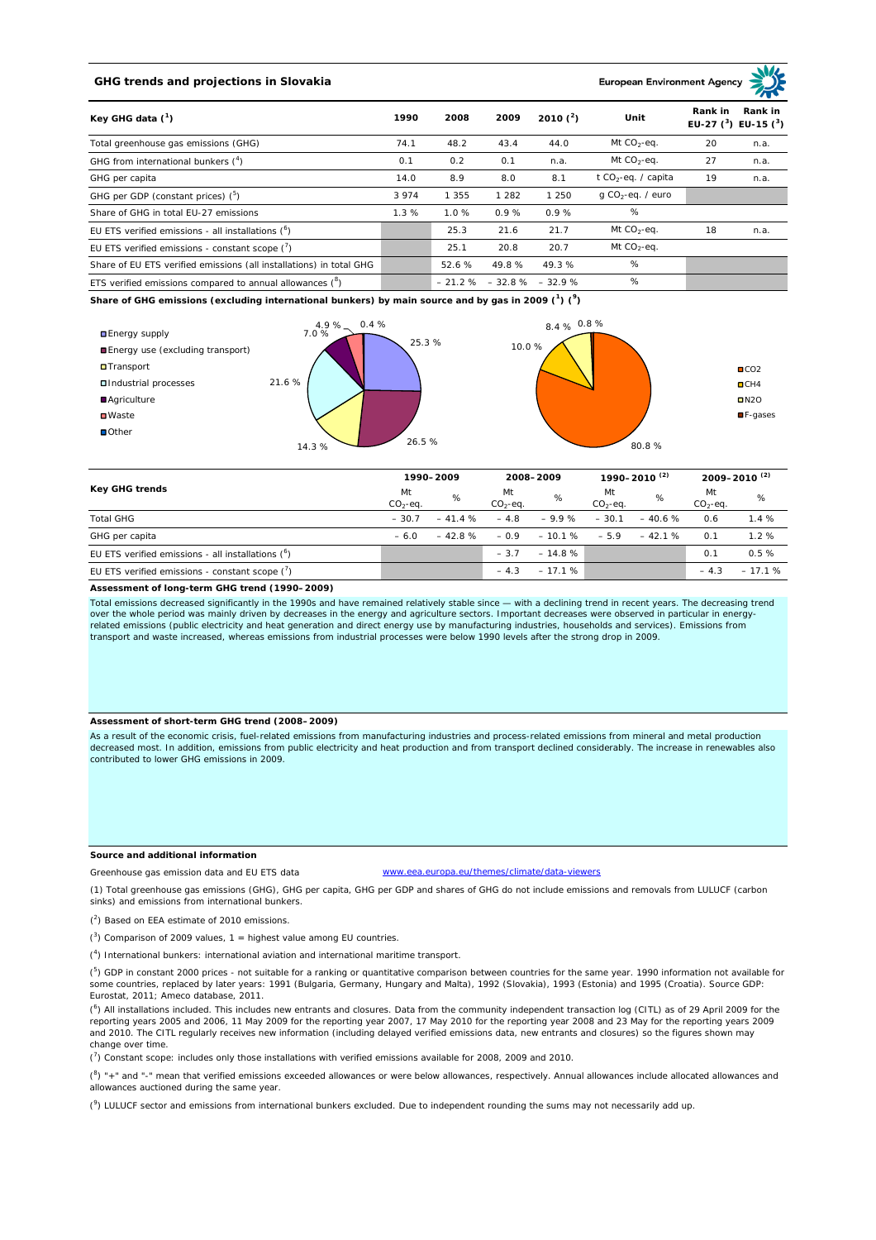# **GHG trends and projections in Slovakia**

**European Environment Ag** 

| Key GHG data $(^1)$                                                 |         | 2008     | 2009    | 2010 $(^{2})$     | Unit                            | Rank in | Rank in<br>EU-27 $(^3)$ EU-15 $(^3)$ |
|---------------------------------------------------------------------|---------|----------|---------|-------------------|---------------------------------|---------|--------------------------------------|
| Total greenhouse gas emissions (GHG)                                | 74.1    | 48.2     | 43.4    | 44.0              | Mt $CO2$ -eq.                   | 20      | n.a.                                 |
| GHG from international bunkers $(^4)$                               | 0.1     | 0.2      | 0.1     | n.a.              | Mt $CO_2$ -eq.                  | 27      | n.a.                                 |
| GHG per capita                                                      | 14.0    | 8.9      | 8.0     | 8.1               | t CO <sub>2</sub> -eq. / capita | 19      | n.a.                                 |
| GHG per GDP (constant prices) $(^5)$                                | 3 9 7 4 | 1355     | 1 2 8 2 | 1 2 5 0           | $q$ CO <sub>2</sub> -eq. / euro |         |                                      |
| Share of GHG in total EU-27 emissions                               | 1.3%    | 1.0%     | 0.9%    | 0.9%              | %                               |         |                                      |
| EU ETS verified emissions - all installations $(°)$                 |         | 25.3     | 21.6    | 21.7              | Mt $CO_2$ -eq.                  | 18      | n.a.                                 |
| EU ETS verified emissions - constant scope $(\vec{r})$              |         | 25.1     | 20.8    | 20.7              | Mt $CO_2$ -eq.                  |         |                                      |
| Share of EU ETS verified emissions (all installations) in total GHG |         | 52.6 %   | 49.8%   | 49.3%             | %                               |         |                                      |
| ETS verified emissions compared to annual allowances $(^8)$         |         | $-21.2%$ |         | $-32.8\% -32.9\%$ | %                               |         |                                      |

**Share of GHG emissions (excluding international bunkers) by main source and by gas in 2009 (<sup>1</sup> ) (<sup>9</sup> )**



| Key GHG trends                                            |                 | 1990-2009 |                 | 2008-2009 |                  | 1990-2010 <sup>(2)</sup> |                 | 2009-2010 <sup>(2)</sup> |  |
|-----------------------------------------------------------|-----------------|-----------|-----------------|-----------|------------------|--------------------------|-----------------|--------------------------|--|
|                                                           | Mt<br>$CO2-eq.$ | %         | Mt<br>$CO2-ea.$ | %         | Mt<br>$CO2-ea$ . | %                        | Mt<br>$CO2-ea.$ | %                        |  |
| <b>Total GHG</b>                                          | $-30.7$         | $-41.4%$  | $-4.8$          | $-9.9%$   | $-30.1$          | $-40.6%$                 | 0.6             | 1.4%                     |  |
| GHG per capita                                            | $-6.0$          | $-42.8%$  | $-0.9$          | $-10.1%$  | $-5.9$           | $-42.1%$                 | 0.1             | 1.2%                     |  |
| EU ETS verified emissions - all installations $(°)$       |                 |           | $-3.7$          | $-14.8%$  |                  |                          | 0.1             | 0.5%                     |  |
| EU ETS verified emissions - constant scope $\binom{7}{1}$ |                 |           | $-4.3$          | $-17.1%$  |                  |                          | $-4.3$          | $-17.1%$                 |  |

#### **Assessment of long-term GHG trend (1990–2009)**

Total emissions decreased significantly in the 1990s and have remained relatively stable since — with a declining trend in recent years. The decreasing trend over the whole period was mainly driven by decreases in the energy and agriculture sectors. Important decreases were observed in particular in energyrelated emissions (public electricity and heat generation and direct energy use by manufacturing industries, households and services). Emissions from transport and waste increased, whereas emissions from industrial processes were below 1990 levels after the strong drop in 2009.

## **Assessment of short-term GHG trend (2008–2009)**

As a result of the economic crisis, fuel-related emissions from manufacturing industries and process-related emissions from mineral and metal production decreased most. In addition, emissions from public electricity and heat production and from transport declined considerably. The increase in renewables also contributed to lower GHG emissions in 2009.

## **Source and additional information**

Greenhouse gas emission data and EU ETS data www.eea.europa.eu/themes/climate/data-viewers

(1) Total greenhouse gas emissions (GHG), GHG per capita, GHG per GDP and shares of GHG do not include emissions and removals from LULUCF (carbon sinks) and emissions from international bunkers.

( 2 ) Based on EEA estimate of 2010 emissions.

 $(3)$  Comparison of 2009 values, 1 = highest value among EU countries.

( 4 ) International bunkers: international aviation and international maritime transport.

 $(^{5})$  GDP in constant 2000 prices - not suitable for a ranking or quantitative comparison between countries for the same year. 1990 information not available for some countries, replaced by later years: 1991 (Bulgaria, Germany, Hungary and Malta), 1992 (Slovakia), 1993 (Estonia) and 1995 (Croatia). Source GDP: Eurostat, 2011; Ameco database, 2011.

(<sup>6</sup>) All installations included. This includes new entrants and closures. Data from the community independent transaction log (CITL) as of 29 April 2009 for the<br>reporting years 2005 and 2006, 11 May 2009 for the reporting and 2010. The CITL regularly receives new information (including delayed verified emissions data, new entrants and closures) so the figures shown may change over time.

 $\binom{7}{1}$  Constant scope: includes only those installations with verified emissions available for 2008, 2009 and 2010.

 $(^{8}$ ) " $+$ " and "-" mean that verified emissions exceeded allowances or were below allowances, respectively. Annual allowances include allocated allowances and allowances auctioned during the same year.

 $(2)$  LULUCF sector and emissions from international bunkers excluded. Due to independent rounding the sums may not necessarily add up.